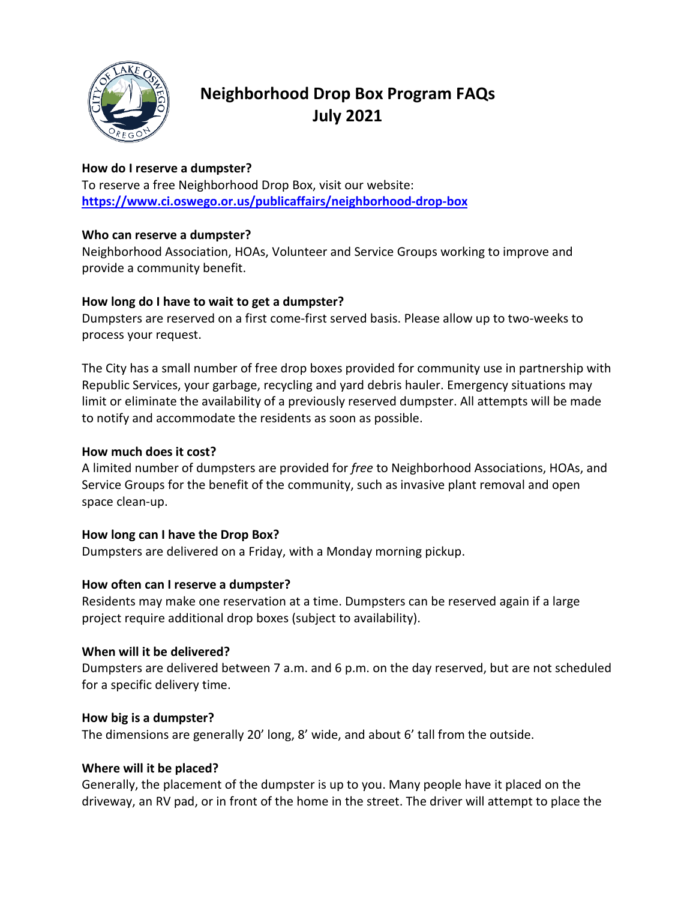

# **Neighborhood Drop Box Program FAQs July 2021**

## **How do I reserve a dumpster?**

To reserve a free Neighborhood Drop Box, visit our website: **<https://www.ci.oswego.or.us/publicaffairs/neighborhood-drop-box>**

#### **Who can reserve a dumpster?**

Neighborhood Association, HOAs, Volunteer and Service Groups working to improve and provide a community benefit.

#### **How long do I have to wait to get a dumpster?**

Dumpsters are reserved on a first come-first served basis. Please allow up to two-weeks to process your request.

The City has a small number of free drop boxes provided for community use in partnership with Republic Services, your garbage, recycling and yard debris hauler. Emergency situations may limit or eliminate the availability of a previously reserved dumpster. All attempts will be made to notify and accommodate the residents as soon as possible.

## **How much does it cost?**

A limited number of dumpsters are provided for *free* to Neighborhood Associations, HOAs, and Service Groups for the benefit of the community, such as invasive plant removal and open space clean-up.

#### **How long can I have the Drop Box?**

Dumpsters are delivered on a Friday, with a Monday morning pickup.

# **How often can I reserve a dumpster?**

Residents may make one reservation at a time. Dumpsters can be reserved again if a large project require additional drop boxes (subject to availability).

#### **When will it be delivered?**

Dumpsters are delivered between 7 a.m. and 6 p.m. on the day reserved, but are not scheduled for a specific delivery time.

#### **How big is a dumpster?**

The dimensions are generally 20' long, 8' wide, and about 6' tall from the outside.

# **Where will it be placed?**

Generally, the placement of the dumpster is up to you. Many people have it placed on the driveway, an RV pad, or in front of the home in the street. The driver will attempt to place the